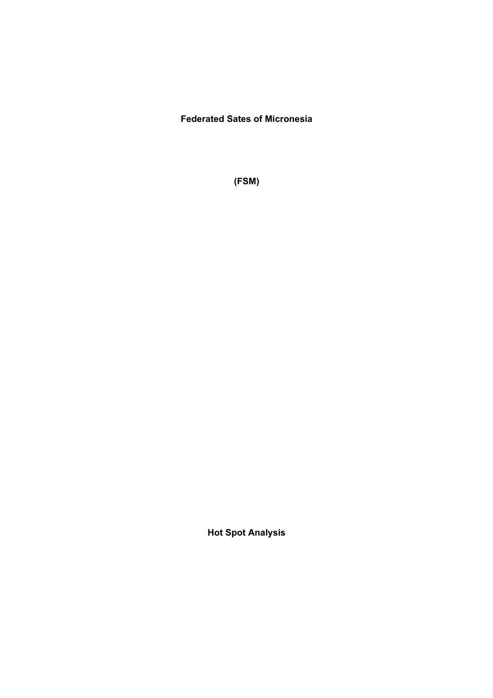## **Federated Sates of Micronesia**

**(FSM)**

**Hot Spot Analysis**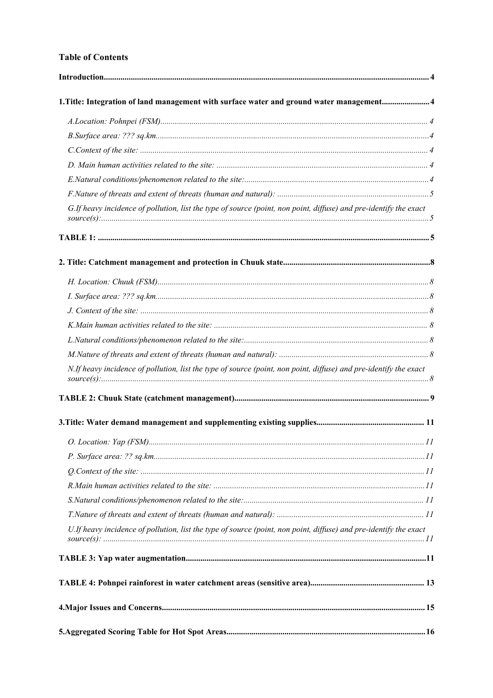#### **Table of Contents**

| 1. Title: Integration of land management with surface water and ground water management4                          |    |
|-------------------------------------------------------------------------------------------------------------------|----|
|                                                                                                                   |    |
|                                                                                                                   |    |
|                                                                                                                   |    |
|                                                                                                                   |    |
|                                                                                                                   |    |
|                                                                                                                   |    |
| G.If heavy incidence of pollution, list the type of source (point, non point, diffuse) and pre-identify the exact |    |
|                                                                                                                   |    |
|                                                                                                                   |    |
|                                                                                                                   |    |
|                                                                                                                   |    |
|                                                                                                                   |    |
|                                                                                                                   |    |
|                                                                                                                   |    |
|                                                                                                                   |    |
| N.If heavy incidence of pollution, list the type of source (point, non point, diffuse) and pre-identify the exact |    |
|                                                                                                                   |    |
|                                                                                                                   |    |
| O. Location: Yap (FSM)                                                                                            | II |
|                                                                                                                   |    |
|                                                                                                                   |    |
|                                                                                                                   |    |
|                                                                                                                   |    |
|                                                                                                                   |    |
| U.If heavy incidence of pollution, list the type of source (point, non point, diffuse) and pre-identify the exact |    |
|                                                                                                                   |    |
|                                                                                                                   |    |
|                                                                                                                   |    |
|                                                                                                                   |    |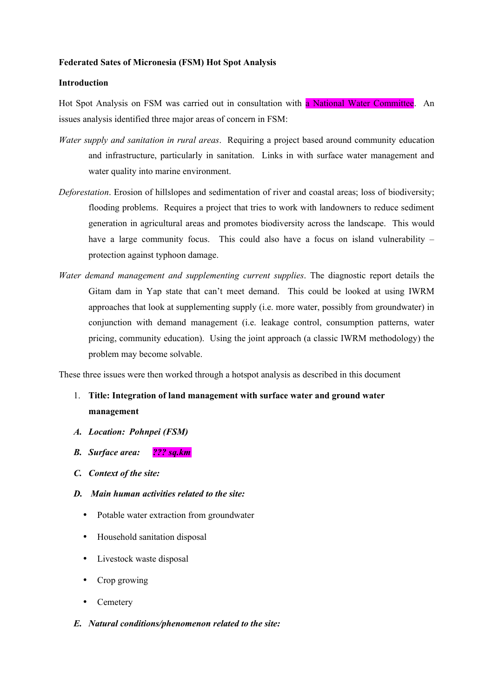#### **Federated Sates of Micronesia (FSM) Hot Spot Analysis**

#### **Introduction**

Hot Spot Analysis on FSM was carried out in consultation with a National Water Committee. An issues analysis identified three major areas of concern in FSM:

- *Water supply and sanitation in rural areas*. Requiring a project based around community education and infrastructure, particularly in sanitation. Links in with surface water management and water quality into marine environment.
- *Deforestation*. Erosion of hillslopes and sedimentation of river and coastal areas; loss of biodiversity; flooding problems. Requires a project that tries to work with landowners to reduce sediment generation in agricultural areas and promotes biodiversity across the landscape. This would have a large community focus. This could also have a focus on island vulnerability – protection against typhoon damage.
- *Water demand management and supplementing current supplies*. The diagnostic report details the Gitam dam in Yap state that can't meet demand. This could be looked at using IWRM approaches that look at supplementing supply (i.e. more water, possibly from groundwater) in conjunction with demand management (i.e. leakage control, consumption patterns, water pricing, community education). Using the joint approach (a classic IWRM methodology) the problem may become solvable.

These three issues were then worked through a hotspot analysis as described in this document

- 1. **Title: Integration of land management with surface water and ground water management**
- *A. Location: Pohnpei (FSM)*
- *B. Surface area: ??? sq.km*
- *C. Context of the site:*
- *D. Main human activities related to the site:*
	- Potable water extraction from groundwater
	- Household sanitation disposal
	- Livestock waste disposal
	- Crop growing
	- **Cemetery**
- *E. Natural conditions/phenomenon related to the site:*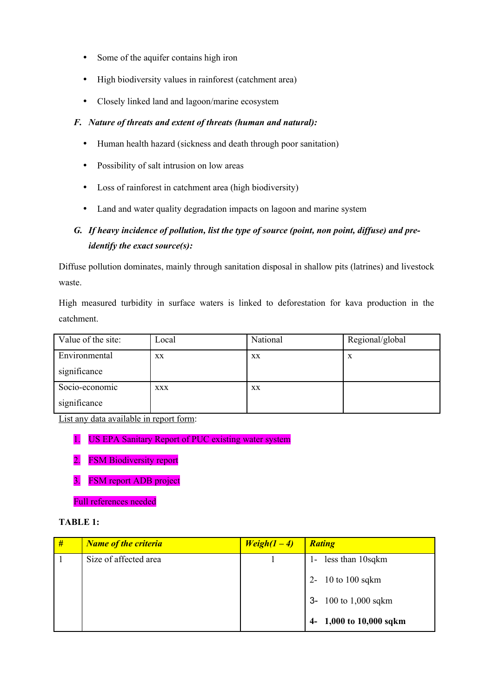- Some of the aquifer contains high iron
- High biodiversity values in rainforest (catchment area)
- Closely linked land and lagoon/marine ecosystem

### *F. Nature of threats and extent of threats (human and natural):*

- Human health hazard (sickness and death through poor sanitation)
- Possibility of salt intrusion on low areas
- Loss of rainforest in catchment area (high biodiversity)
- Land and water quality degradation impacts on lagoon and marine system

## *G. If heavy incidence of pollution, list the type of source (point, non point, diffuse) and preidentify the exact source(s):*

Diffuse pollution dominates, mainly through sanitation disposal in shallow pits (latrines) and livestock waste.

High measured turbidity in surface waters is linked to deforestation for kava production in the catchment.

| Value of the site: | Local      | National | Regional/global |
|--------------------|------------|----------|-----------------|
| Environmental      | XX         | XX       | X               |
| significance       |            |          |                 |
| Socio-economic     | <b>XXX</b> | XX       |                 |
| significance       |            |          |                 |

List any data available in report form:

- 1. US EPA Sanitary Report of PUC existing water system
- 2. FSM Biodiversity report
- 3. FSM report ADB project

Full references needed

### **TABLE 1:**

| # | <b>Name of the criteria</b> | $Weight(1-4)$ | <b>Rating</b>           |
|---|-----------------------------|---------------|-------------------------|
|   | Size of affected area       |               | 1- less than 10sqkm     |
|   |                             |               | 2- 10 to 100 sqkm       |
|   |                             |               | 3- 100 to 1,000 sqkm    |
|   |                             |               | 4- 1,000 to 10,000 sqkm |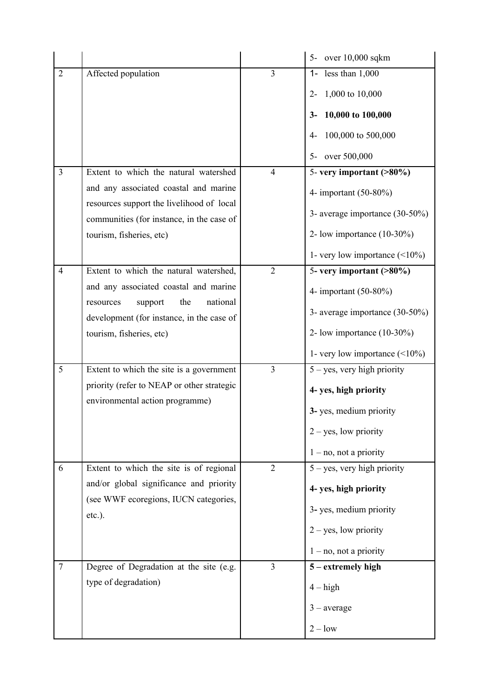|                |                                                                                        |                | 5- over 10,000 sqkm                    |
|----------------|----------------------------------------------------------------------------------------|----------------|----------------------------------------|
| $\overline{2}$ | Affected population                                                                    | $\overline{3}$ | less than $1,000$<br>$1 -$             |
|                |                                                                                        |                | 1,000 to $10,000$<br>$2 -$             |
|                |                                                                                        |                | 10,000 to 100,000<br>$3-$              |
|                |                                                                                        |                | 100,000 to 500,000<br>4-               |
|                |                                                                                        |                | over 500,000<br>$5-$                   |
| $\overline{3}$ | Extent to which the natural watershed                                                  | $\overline{4}$ | $\overline{5}$ - very important (>80%) |
|                | and any associated coastal and marine                                                  |                | 4- important (50-80%)                  |
|                | resources support the livelihood of local<br>communities (for instance, in the case of |                | 3- average importance $(30-50\%)$      |
|                | tourism, fisheries, etc)                                                               |                | 2- low importance $(10-30\%)$          |
|                |                                                                                        |                | 1- very low importance $(\leq 10\%)$   |
| $\overline{4}$ | Extent to which the natural watershed,                                                 | $\overline{2}$ | 5- very important (>80%)               |
|                | and any associated coastal and marine                                                  |                | 4- important (50-80%)                  |
|                | national<br>the<br>support<br>resources<br>development (for instance, in the case of   |                | 3- average importance (30-50%)         |
|                | tourism, fisheries, etc)                                                               |                | 2- low importance $(10-30\%)$          |
|                |                                                                                        |                | 1- very low importance $(\leq 10\%)$   |
| 5              | Extent to which the site is a government                                               | $\overline{3}$ | $5 - yes$ , very high priority         |
|                | priority (refer to NEAP or other strategic                                             |                | 4- yes, high priority                  |
|                | environmental action programme)                                                        |                | 3-yes, medium priority                 |
|                |                                                                                        |                | $2 - yes$ , low priority               |
|                |                                                                                        |                | $1 - no$ , not a priority              |
| 6              | Extent to which the site is of regional                                                | $\overline{2}$ | $5 - yes$ , very high priority         |
|                | and/or global significance and priority                                                |                | 4- yes, high priority                  |
|                | (see WWF ecoregions, IUCN categories,<br>$etc.$ ).                                     |                | 3-yes, medium priority                 |
|                |                                                                                        |                | $2 - yes$ , low priority               |
|                |                                                                                        |                | $1 - no$ , not a priority              |
| $\tau$         | Degree of Degradation at the site (e.g.                                                | $\overline{3}$ | $5$ – extremely high                   |
|                | type of degradation)                                                                   |                | $4 - high$                             |
|                |                                                                                        |                | $3$ – average                          |
|                |                                                                                        |                | $2 - low$                              |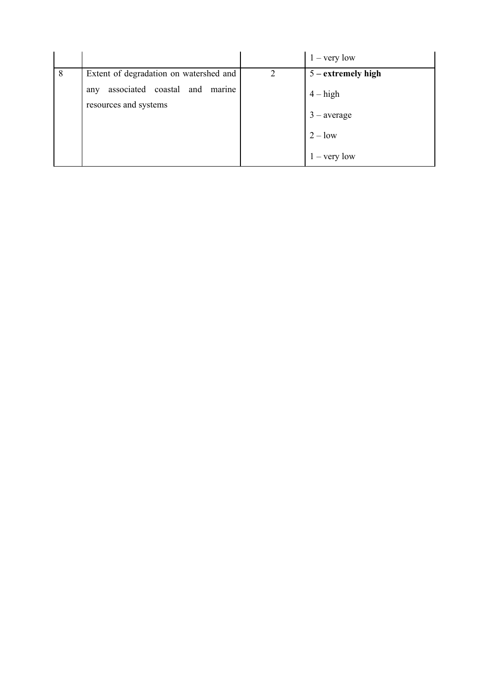|   |                                         |               | $1 - \text{very low}$ |
|---|-----------------------------------------|---------------|-----------------------|
| 8 | Extent of degradation on watershed and  | $\mathcal{D}$ | $5$ – extremely high  |
|   | associated coastal and<br>marine<br>any |               | $4 - high$            |
|   | resources and systems                   |               |                       |
|   |                                         |               | $3$ – average         |
|   |                                         |               | $2 - low$             |
|   |                                         |               | $1 - \text{very low}$ |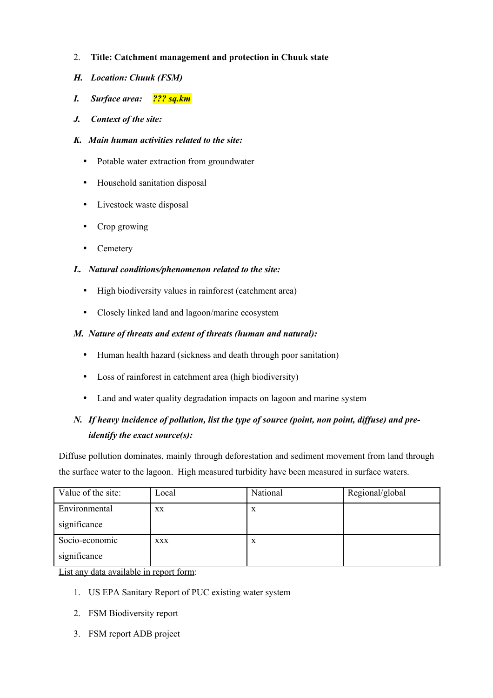- 2. **Title: Catchment management and protection in Chuuk state**
- *H. Location: Chuuk (FSM)*
- *I. Surface area: ??? sq.km*
- *J. Context of the site:*
- *K. Main human activities related to the site:*
	- Potable water extraction from groundwater
	- Household sanitation disposal
	- Livestock waste disposal
	- Crop growing
	- Cemetery

### *L. Natural conditions/phenomenon related to the site:*

- High biodiversity values in rainforest (catchment area)
- Closely linked land and lagoon/marine ecosystem

### *M. Nature of threats and extent of threats (human and natural):*

- Human health hazard (sickness and death through poor sanitation)
- Loss of rainforest in catchment area (high biodiversity)
- Land and water quality degradation impacts on lagoon and marine system

## *N. If heavy incidence of pollution, list the type of source (point, non point, diffuse) and preidentify the exact source(s):*

Diffuse pollution dominates, mainly through deforestation and sediment movement from land through the surface water to the lagoon. High measured turbidity have been measured in surface waters.

| Value of the site: | Local      | National     | Regional/global |
|--------------------|------------|--------------|-----------------|
| Environmental      | XX         | $\mathbf x$  |                 |
| significance       |            |              |                 |
| Socio-economic     | <b>XXX</b> | $\mathbf{X}$ |                 |
| significance       |            |              |                 |

List any data available in report form:

- 1. US EPA Sanitary Report of PUC existing water system
- 2. FSM Biodiversity report
- 3. FSM report ADB project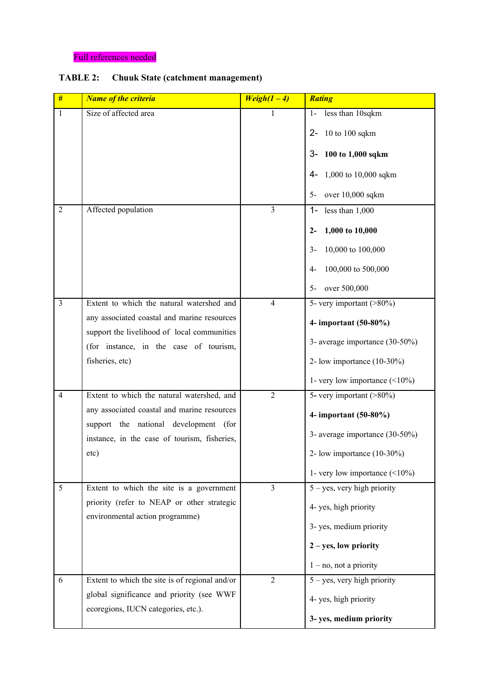### Full references needed

### **TABLE 2: Chuuk State (catchment management)**

| #              | <b>Name of the criteria</b>                                                           | $Weight(1 - 4)$         | <b>Rating</b>                        |
|----------------|---------------------------------------------------------------------------------------|-------------------------|--------------------------------------|
| $\mathbf{1}$   | Size of affected area                                                                 | 1                       | less than 10sqkm<br>$1-$             |
|                |                                                                                       |                         | 10 to 100 sqkm<br>$2 -$              |
|                |                                                                                       |                         | 100 to 1,000 sqkm<br>3-              |
|                |                                                                                       |                         | 1,000 to 10,000 sqkm<br>4-           |
|                |                                                                                       |                         | over 10,000 sqkm<br>$5-$             |
| $\overline{2}$ | Affected population                                                                   | $\overline{3}$          | $1 -$<br>less than $1,000$           |
|                |                                                                                       |                         | 1,000 to 10,000<br>$2-$              |
|                |                                                                                       |                         | 10,000 to 100,000<br>$3-$            |
|                |                                                                                       |                         | 100,000 to 500,000<br>$4-$           |
|                |                                                                                       |                         | over 500,000<br>$5-$                 |
| $\overline{3}$ | Extent to which the natural watershed and                                             | $\overline{4}$          | 5- very important $($ >80%)          |
|                | any associated coastal and marine resources                                           |                         | 4- important (50-80%)                |
|                | support the livelihood of local communities<br>(for instance, in the case of tourism, |                         | 3- average importance (30-50%)       |
|                | fisheries, etc)                                                                       |                         | 2- low importance $(10-30\%)$        |
|                |                                                                                       |                         | 1- very low importance $(\leq 10\%)$ |
| $\overline{4}$ | Extent to which the natural watershed, and                                            | $\overline{2}$          | 5- very important $($ >80%)          |
|                | any associated coastal and marine resources<br>support the national development (for  |                         | 4- important (50-80%)                |
|                | instance, in the case of tourism, fisheries,                                          |                         | 3- average importance (30-50%)       |
|                | etc)                                                                                  |                         | 2- low importance $(10-30\%)$        |
|                |                                                                                       |                         | 1- very low importance $(\leq 10\%)$ |
| 5              | Extent to which the site is a government                                              | $\overline{\mathbf{3}}$ | $5 - yes$ , very high priority       |
|                | priority (refer to NEAP or other strategic<br>environmental action programme)         |                         | 4-yes, high priority                 |
|                |                                                                                       |                         | 3- yes, medium priority              |
|                |                                                                                       |                         | $2 - yes$ , low priority             |
|                |                                                                                       |                         | $1 - no$ , not a priority            |
| 6              | Extent to which the site is of regional and/or                                        | 2                       | $5 - yes$ , very high priority       |
|                | global significance and priority (see WWF                                             |                         | 4-yes, high priority                 |
|                | ecoregions, IUCN categories, etc.).                                                   |                         | 3- yes, medium priority              |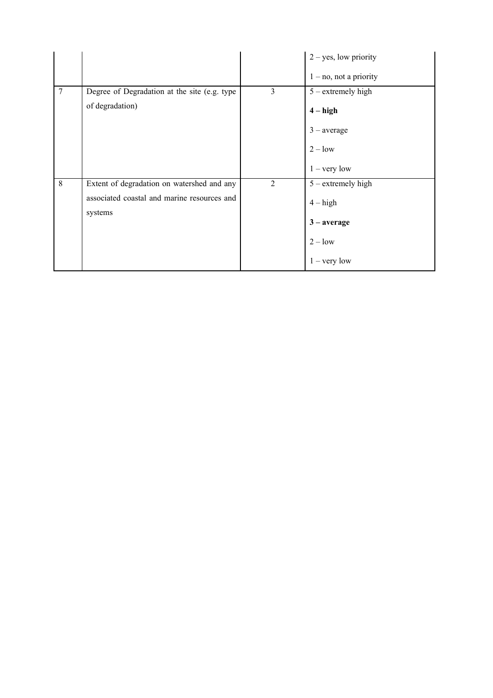|   |                                                        |                | $2 - yes$ , low priority  |
|---|--------------------------------------------------------|----------------|---------------------------|
|   |                                                        |                | $1 - no$ , not a priority |
| 7 | Degree of Degradation at the site (e.g. type           | 3              | $5$ – extremely high      |
|   | of degradation)                                        |                | $4 - high$                |
|   |                                                        |                | $3$ – average             |
|   |                                                        |                | $2 - low$                 |
|   |                                                        |                | $1 - \text{very low}$     |
| 8 | Extent of degradation on watershed and any             | $\overline{2}$ | $5$ – extremely high      |
|   | associated coastal and marine resources and<br>systems |                | $4 - high$                |
|   |                                                        |                | $3 - average$             |
|   |                                                        |                | $2 - low$                 |
|   |                                                        |                | $1 - \text{very low}$     |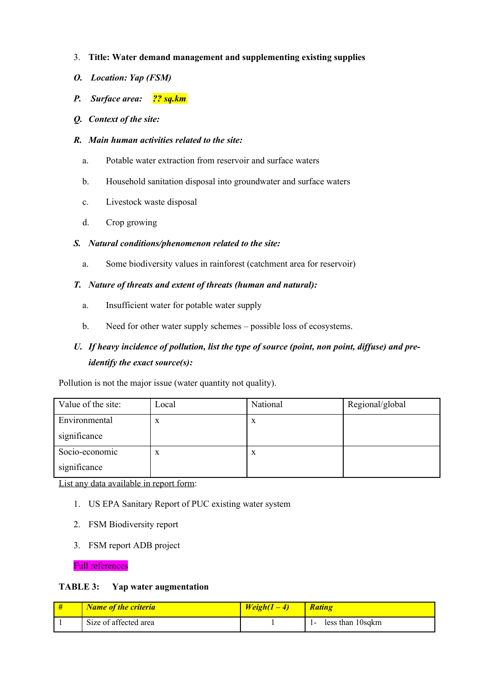- 3. **Title: Water demand management and supplementing existing supplies**
- *O. Location: Yap (FSM)*
- *P. Surface area: ?? sq.km*
- *Q. Context of the site:*
- *R. Main human activities related to the site:*
	- a. Potable water extraction from reservoir and surface waters
	- b. Household sanitation disposal into groundwater and surface waters
	- c. Livestock waste disposal
	- d. Crop growing

#### *S. Natural conditions/phenomenon related to the site:*

a. Some biodiversity values in rainforest (catchment area for reservoir)

#### *T. Nature of threats and extent of threats (human and natural):*

- a. Insufficient water for potable water supply
- b. Need for other water supply schemes possible loss of ecosystems.

## *U. If heavy incidence of pollution, list the type of source (point, non point, diffuse) and preidentify the exact source(s):*

Pollution is not the major issue (water quantity not quality).

| Value of the site: | Local | National | Regional/global |
|--------------------|-------|----------|-----------------|
| Environmental      | X     | X        |                 |
| significance       |       |          |                 |
| Socio-economic     | X     | X        |                 |
| significance       |       |          |                 |

List any data available in report form:

- 1. US EPA Sanitary Report of PUC existing water system
- 2. FSM Biodiversity report
- 3. FSM report ADB project

Full references

#### **TABLE 3: Yap water augmentation**

| <b>Name of the criteria</b> | $Weight(1-4)$ | <b>Rating</b>              |
|-----------------------------|---------------|----------------------------|
| Size of affected area       |               | less than 10sqkm<br>$\sim$ |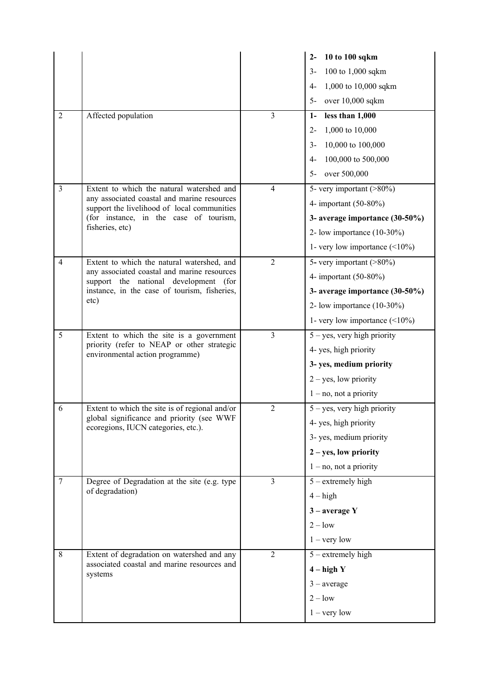|                |                                                                                            |                | 10 to 100 sqkm<br>$2 -$              |
|----------------|--------------------------------------------------------------------------------------------|----------------|--------------------------------------|
|                |                                                                                            |                | 100 to 1,000 sqkm<br>$3-$            |
|                |                                                                                            |                | 1,000 to 10,000 sqkm<br>4-           |
|                |                                                                                            |                | over 10,000 sqkm<br>$5-$             |
| $\overline{2}$ | Affected population                                                                        | $\overline{3}$ | less than 1,000<br>$1-$              |
|                |                                                                                            |                | 1,000 to 10,000<br>$2 -$             |
|                |                                                                                            |                | 10,000 to 100,000<br>$3-$            |
|                |                                                                                            |                | 100,000 to 500,000<br>$4-$           |
|                |                                                                                            |                | over 500,000<br>$5-$                 |
| 3              | Extent to which the natural watershed and                                                  | $\overline{4}$ | 5- very important $($ >80%)          |
|                | any associated coastal and marine resources<br>support the livelihood of local communities |                | 4- important (50-80%)                |
|                | (for instance, in the case of tourism,                                                     |                | 3- average importance (30-50%)       |
|                | fisheries, etc)                                                                            |                | 2- low importance $(10-30\%)$        |
|                |                                                                                            |                | 1- very low importance $(\leq 10\%)$ |
| 4              | Extent to which the natural watershed, and                                                 | $\overline{2}$ | $5$ - very important (>80%)          |
|                | any associated coastal and marine resources<br>support the national development (for       |                | 4- important (50-80%)                |
|                | instance, in the case of tourism, fisheries,                                               |                | 3- average importance (30-50%)       |
|                | etc)                                                                                       |                | 2- low importance $(10-30\%)$        |
|                |                                                                                            |                | 1- very low importance $(\leq 10\%)$ |
| 5              | Extent to which the site is a government                                                   | $\overline{3}$ | $5 - yes$ , very high priority       |
|                | priority (refer to NEAP or other strategic<br>environmental action programme)              |                | 4- yes, high priority                |
|                |                                                                                            |                | 3- yes, medium priority              |
|                |                                                                                            |                | $2 - yes$ , low priority             |
|                |                                                                                            |                | $1 - no$ , not a priority            |
| 6              | Extent to which the site is of regional and/or                                             | $\overline{2}$ | $5 - yes$ , very high priority       |
|                | global significance and priority (see WWF<br>ecoregions, IUCN categories, etc.).           |                | 4- yes, high priority                |
|                |                                                                                            |                | 3-yes, medium priority               |
|                |                                                                                            |                | $2 - yes$ , low priority             |
|                |                                                                                            |                | $1 - no$ , not a priority            |
| $\overline{7}$ | Degree of Degradation at the site (e.g. type                                               | $\overline{3}$ | $5$ – extremely high                 |
|                | of degradation)                                                                            |                | $4 - high$                           |
|                |                                                                                            |                | $3$ – average Y                      |
|                |                                                                                            |                | $2 - low$                            |
|                |                                                                                            |                | $1 - \text{very low}$                |
| 8              | Extent of degradation on watershed and any                                                 | $\overline{2}$ | $5$ – extremely high                 |
|                | associated coastal and marine resources and<br>systems                                     |                | $4 - high Y$                         |
|                |                                                                                            |                | $3$ – average                        |
|                |                                                                                            |                | $2 - low$                            |
|                |                                                                                            |                | $1 - very low$                       |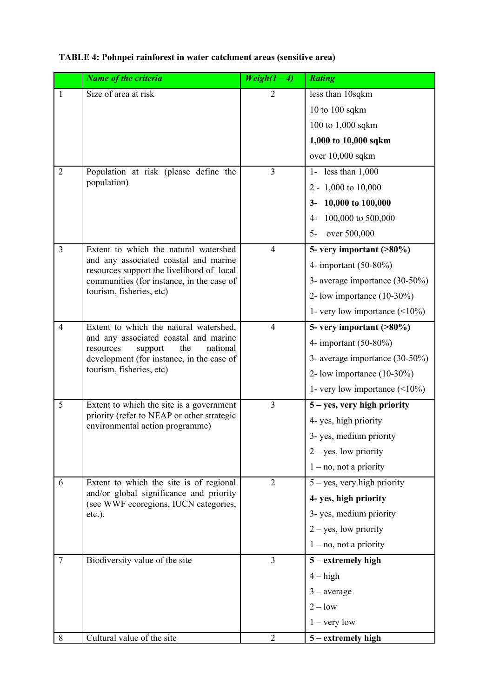|                | <b>Name of the criteria</b>                                                        | $Weight(1-4)$  | <b>Rating</b>                        |
|----------------|------------------------------------------------------------------------------------|----------------|--------------------------------------|
| 1              | Size of area at risk                                                               | 2              | less than 10sqkm                     |
|                |                                                                                    |                | 10 to 100 sqkm                       |
|                |                                                                                    |                | 100 to 1,000 sqkm                    |
|                |                                                                                    |                | 1,000 to 10,000 sqkm                 |
|                |                                                                                    |                | over 10,000 sqkm                     |
| $\overline{2}$ | Population at risk (please define the                                              | $\overline{3}$ | 1- less than $1,000$                 |
|                | population)                                                                        |                | 2 - 1,000 to 10,000                  |
|                |                                                                                    |                | 3-10,000 to 100,000                  |
|                |                                                                                    |                | 4-100,000 to 500,000                 |
|                |                                                                                    |                | over 500,000<br>$5-$                 |
| $\overline{3}$ | Extent to which the natural watershed                                              | $\overline{4}$ | 5- very important $( >80\%)$         |
|                | and any associated coastal and marine<br>resources support the livelihood of local |                | 4- important (50-80%)                |
|                | communities (for instance, in the case of                                          |                | 3- average importance (30-50%)       |
|                | tourism, fisheries, etc)                                                           |                | 2- low importance $(10-30\%)$        |
|                |                                                                                    |                | 1- very low importance $(\leq 10\%)$ |
| $\overline{4}$ | Extent to which the natural watershed,                                             | $\overline{4}$ | 5- very important (>80%)             |
|                | and any associated coastal and marine<br>the<br>resources<br>support<br>national   |                | 4- important $(50-80\%)$             |
|                | development (for instance, in the case of                                          |                | 3- average importance (30-50%)       |
|                | tourism, fisheries, etc)                                                           |                | 2- low importance $(10-30\%)$        |
|                |                                                                                    |                | 1- very low importance $(\leq 10\%)$ |
| 5              | Extent to which the site is a government                                           | $\overline{3}$ | $5 - yes$ , very high priority       |
|                | priority (refer to NEAP or other strategic<br>environmental action programme)      |                | 4- yes, high priority                |
|                |                                                                                    |                | 3- yes, medium priority              |
|                |                                                                                    |                | $2 - yes$ , low priority             |
|                |                                                                                    |                | $1 - no$ , not a priority            |
| 6              | Extent to which the site is of regional                                            | $\overline{2}$ | $5 - yes$ , very high priority       |
|                | and/or global significance and priority<br>(see WWF ecoregions, IUCN categories,   |                | 4- yes, high priority                |
|                | $etc.$ ).                                                                          |                | 3-yes, medium priority               |
|                |                                                                                    |                | $2 - yes$ , low priority             |
|                |                                                                                    |                | $1 - no$ , not a priority            |
| $\tau$         | Biodiversity value of the site                                                     | $\overline{3}$ | 5 – extremely high                   |
|                |                                                                                    |                | $4 - high$                           |
|                |                                                                                    |                | $3$ – average                        |
|                |                                                                                    |                | $2 - low$                            |
|                |                                                                                    |                | $1 - \text{very low}$                |
| 8              | Cultural value of the site                                                         | $\overline{2}$ | 5 – extremely high                   |

# **TABLE 4: Pohnpei rainforest in water catchment areas (sensitive area)**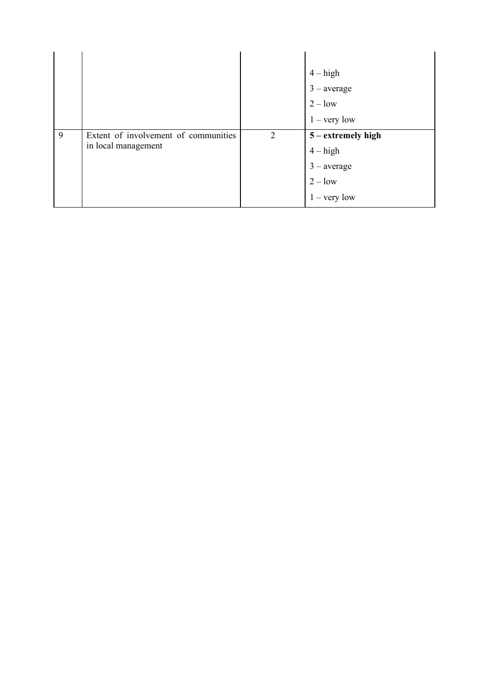|   |                                                             |                | $4 - high$<br>$3$ – average<br>$2 - low$<br>$1 - \text{very low}$                         |
|---|-------------------------------------------------------------|----------------|-------------------------------------------------------------------------------------------|
| 9 | Extent of involvement of communities<br>in local management | $\overline{2}$ | $5$ – extremely high<br>$4 - high$<br>$3$ – average<br>$2 - low$<br>$1 - \text{very low}$ |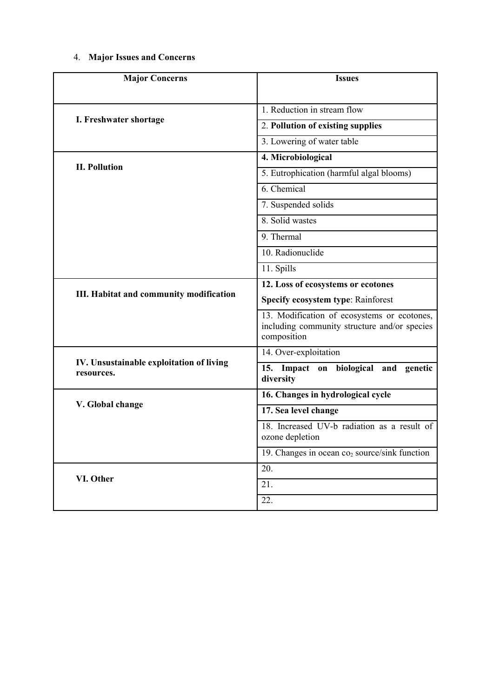# 4. **Major Issues and Concerns**

| <b>Major Concerns</b>                                  | <b>Issues</b>                                                                                              |
|--------------------------------------------------------|------------------------------------------------------------------------------------------------------------|
|                                                        |                                                                                                            |
| I. Freshwater shortage                                 | 1. Reduction in stream flow                                                                                |
|                                                        | 2. Pollution of existing supplies                                                                          |
|                                                        | 3. Lowering of water table                                                                                 |
|                                                        | 4. Microbiological                                                                                         |
| <b>II. Pollution</b>                                   | 5. Eutrophication (harmful algal blooms)                                                                   |
|                                                        | 6. Chemical                                                                                                |
|                                                        | 7. Suspended solids                                                                                        |
|                                                        | 8. Solid wastes                                                                                            |
|                                                        | 9. Thermal                                                                                                 |
|                                                        | 10. Radionuclide                                                                                           |
|                                                        | 11. Spills                                                                                                 |
|                                                        | 12. Loss of ecosystems or ecotones                                                                         |
| III. Habitat and community modification                | Specify ecosystem type: Rainforest                                                                         |
|                                                        | 13. Modification of ecosystems or ecotones,<br>including community structure and/or species<br>composition |
|                                                        | 14. Over-exploitation                                                                                      |
| IV. Unsustainable exploitation of living<br>resources. | 15.<br>biological<br>Impact on<br>and<br>genetic<br>diversity                                              |
|                                                        | 16. Changes in hydrological cycle                                                                          |
| V. Global change                                       | 17. Sea level change                                                                                       |
|                                                        | 18. Increased UV-b radiation as a result of<br>ozone depletion                                             |
|                                                        | 19. Changes in ocean co <sub>2</sub> source/sink function                                                  |
|                                                        | 20.                                                                                                        |
| VI. Other                                              | 21.                                                                                                        |
|                                                        | 22.                                                                                                        |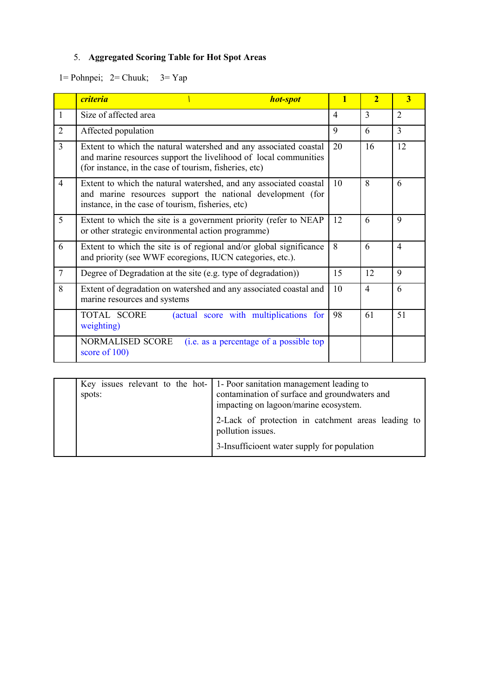# 5. **Aggregated Scoring Table for Hot Spot Areas**

1= Pohnpei; 2= Chuuk; 3= Yap

|                | <b>criteria</b><br>hot-spot                                                                                                                                                                    | 1              | $\overline{2}$ | $\overline{\mathbf{3}}$ |
|----------------|------------------------------------------------------------------------------------------------------------------------------------------------------------------------------------------------|----------------|----------------|-------------------------|
| $\mathbf{1}$   | Size of affected area                                                                                                                                                                          | $\overline{4}$ | $\mathcal{E}$  | 2                       |
| $\overline{2}$ | Affected population                                                                                                                                                                            | 9              | 6              | 3                       |
| $\overline{3}$ | Extent to which the natural watershed and any associated coastal<br>and marine resources support the livelihood of local communities<br>(for instance, in the case of tourism, fisheries, etc) | 20             | 16             | 12                      |
| $\overline{4}$ | Extent to which the natural watershed, and any associated coastal<br>and marine resources support the national development (for<br>instance, in the case of tourism, fisheries, etc)           | 10             | 8              | 6                       |
| 5              | Extent to which the site is a government priority (refer to NEAP<br>or other strategic environmental action programme)                                                                         | 12             | 6              | 9                       |
| 6              | Extent to which the site is of regional and/or global significance<br>and priority (see WWF ecoregions, IUCN categories, etc.).                                                                | 8              | 6              | $\overline{4}$          |
| $\overline{7}$ | Degree of Degradation at the site (e.g. type of degradation))                                                                                                                                  | 15             | 12             | 9                       |
| 8              | Extent of degradation on watershed and any associated coastal and<br>marine resources and systems                                                                                              | 10             | $\overline{4}$ | 6                       |
|                | (actual score with multiplications for<br><b>TOTAL SCORE</b><br>weighting)                                                                                                                     | 98             | 61             | 51                      |
|                | NORMALISED SCORE<br>(i.e. as a percentage of a possible top)<br>score of 100)                                                                                                                  |                |                |                         |

| spots: | Key issues relevant to the hot- $\vert$ 1-Poor sanitation management leading to<br>contamination of surface and groundwaters and<br>impacting on lagoon/marine ecosystem. |
|--------|---------------------------------------------------------------------------------------------------------------------------------------------------------------------------|
|        | 2-Lack of protection in catchment areas leading to<br>pollution issues.<br>3-Insufficioent water supply for population                                                    |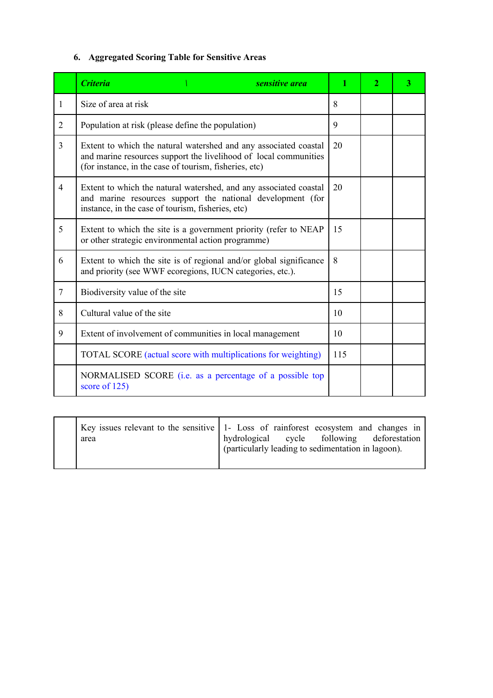# **6. Aggregated Scoring Table for Sensitive Areas**

|                | <b>Criteria</b><br>sensitive area                                                                                                                                                              | 1   | $\overline{2}$ | 3 |
|----------------|------------------------------------------------------------------------------------------------------------------------------------------------------------------------------------------------|-----|----------------|---|
| 1              | Size of area at risk                                                                                                                                                                           | 8   |                |   |
| 2              | Population at risk (please define the population)                                                                                                                                              | 9   |                |   |
| $\overline{3}$ | Extent to which the natural watershed and any associated coastal<br>and marine resources support the livelihood of local communities<br>(for instance, in the case of tourism, fisheries, etc) | 20  |                |   |
| $\overline{4}$ | Extent to which the natural watershed, and any associated coastal<br>and marine resources support the national development (for<br>instance, in the case of tourism, fisheries, etc)           | 20  |                |   |
| 5              | Extent to which the site is a government priority (refer to NEAP<br>or other strategic environmental action programme)                                                                         |     |                |   |
| 6              | Extent to which the site is of regional and/or global significance<br>and priority (see WWF ecoregions, IUCN categories, etc.).                                                                |     |                |   |
| $\overline{7}$ | Biodiversity value of the site                                                                                                                                                                 |     |                |   |
| 8              | Cultural value of the site                                                                                                                                                                     |     |                |   |
| 9              | Extent of involvement of communities in local management                                                                                                                                       |     |                |   |
|                | TOTAL SCORE (actual score with multiplications for weighting)                                                                                                                                  | 115 |                |   |
|                | NORMALISED SCORE (i.e. as a percentage of a possible top<br>score of 125)                                                                                                                      |     |                |   |

| area | Key issues relevant to the sensitive 1- Loss of rainforest ecosystem and changes in<br>hydrological cycle following deforestation |
|------|-----------------------------------------------------------------------------------------------------------------------------------|
|      | (particularly leading to sedimentation in lagoon).                                                                                |